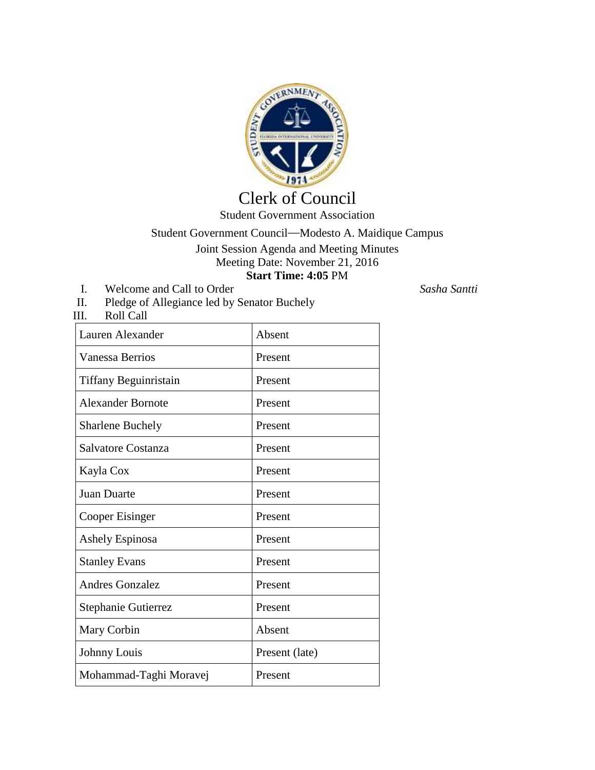

## Clerk of Council Student Government Association

Student Government Council—Modesto A. Maidique Campus Joint Session Agenda and Meeting Minutes

Meeting Date: November 21, 2016 **Start Time: 4:05** PM

- I. Welcome and Call to Order *Sasha Santti*
- II. Pledge of Allegiance led by Senator Buchely<br>III. Roll Call Roll Call

| Lauren Alexander         | Absent         |
|--------------------------|----------------|
| Vanessa Berrios          | Present        |
| Tiffany Beguinristain    | Present        |
| <b>Alexander Bornote</b> | Present        |
| <b>Sharlene Buchely</b>  | Present        |
| Salvatore Costanza       | Present        |
| Kayla Cox                | Present        |
| <b>Juan Duarte</b>       | Present        |
| Cooper Eisinger          | Present        |
| Ashely Espinosa          | Present        |
| <b>Stanley Evans</b>     | Present        |
| <b>Andres Gonzalez</b>   | Present        |
| Stephanie Gutierrez      | Present        |
| Mary Corbin              | Absent         |
| Johnny Louis             | Present (late) |
| Mohammad-Taghi Moravej   | Present        |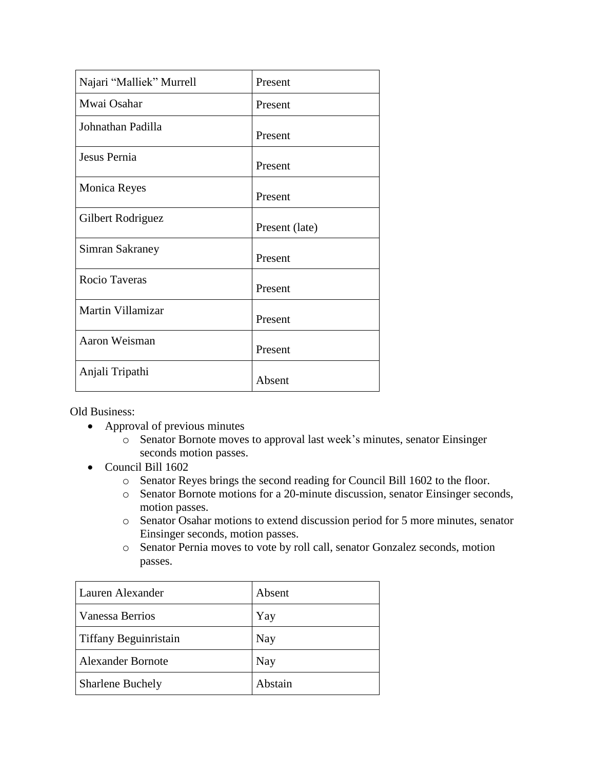| Najari "Malliek" Murrell | Present        |
|--------------------------|----------------|
| Mwai Osahar              | Present        |
| Johnathan Padilla        | Present        |
| Jesus Pernia             | Present        |
| <b>Monica Reyes</b>      | Present        |
| Gilbert Rodriguez        | Present (late) |
| Simran Sakraney          | Present        |
| <b>Rocio Taveras</b>     | Present        |
| Martin Villamizar        | Present        |
| Aaron Weisman            | Present        |
| Anjali Tripathi          | Absent         |

Old Business:

- Approval of previous minutes
	- o Senator Bornote moves to approval last week's minutes, senator Einsinger seconds motion passes.
- Council Bill 1602
	- o Senator Reyes brings the second reading for Council Bill 1602 to the floor.
	- o Senator Bornote motions for a 20-minute discussion, senator Einsinger seconds, motion passes.
	- o Senator Osahar motions to extend discussion period for 5 more minutes, senator Einsinger seconds, motion passes.
	- o Senator Pernia moves to vote by roll call, senator Gonzalez seconds, motion passes.

| Lauren Alexander         | Absent  |
|--------------------------|---------|
| Vanessa Berrios          | Yay     |
| Tiffany Beguinristain    | Nay     |
| <b>Alexander Bornote</b> | Nay     |
| <b>Sharlene Buchely</b>  | Abstain |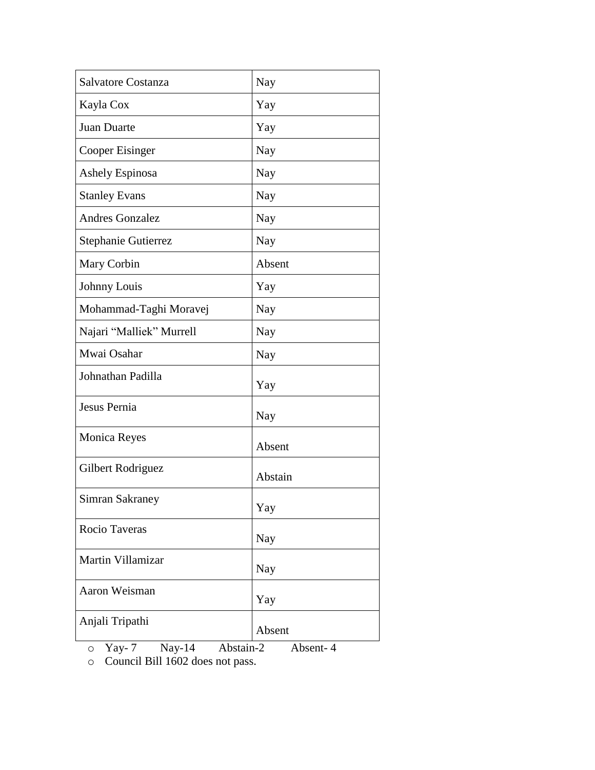| Salvatore Costanza                                    | Nay     |
|-------------------------------------------------------|---------|
| Kayla Cox                                             | Yay     |
| Juan Duarte                                           | Yay     |
| Cooper Eisinger                                       | Nay     |
| <b>Ashely Espinosa</b>                                | Nay     |
| <b>Stanley Evans</b>                                  | Nay     |
| <b>Andres Gonzalez</b>                                | Nay     |
| Stephanie Gutierrez                                   | Nay     |
| Mary Corbin                                           | Absent  |
| Johnny Louis                                          | Yay     |
| Mohammad-Taghi Moravej                                | Nay     |
| Najari "Malliek" Murrell                              | Nay     |
| Mwai Osahar                                           | Nay     |
| Johnathan Padilla                                     | Yay     |
| Jesus Pernia                                          | Nay     |
| <b>Monica Reyes</b>                                   | Absent  |
| Gilbert Rodriguez                                     | Abstain |
| <b>Simran Sakraney</b>                                | Yay     |
| Rocio Taveras                                         | Nay     |
| Martin Villamizar                                     | Nay     |
| Aaron Weisman                                         | Yay     |
| Anjali Tripathi                                       | Absent  |
| Abstain-2<br>Yay-7<br>$Nay-14$<br>Absent-4<br>$\circ$ |         |

o Council Bill 1602 does not pass.